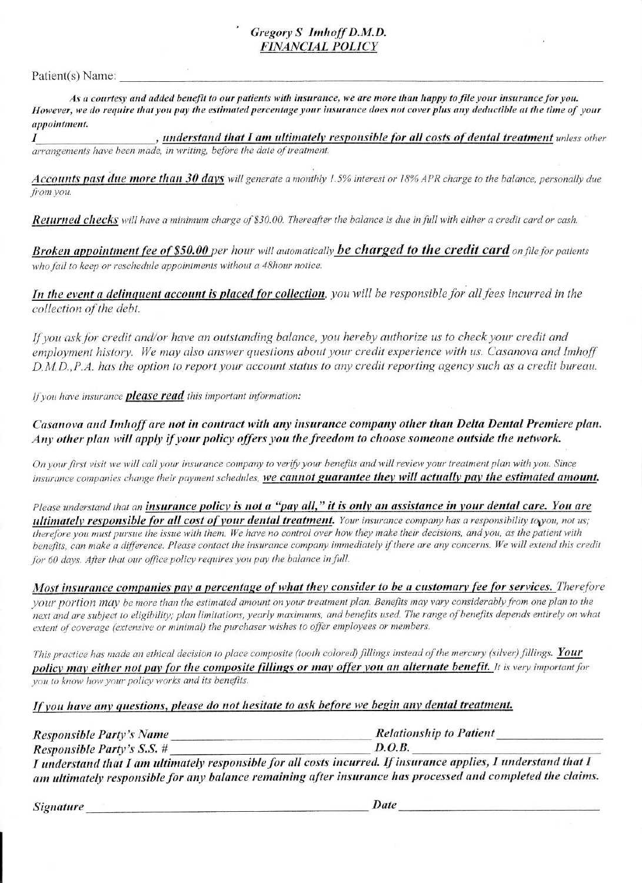## Gregory S Imhoff D.M.D. **FINANCIAL POLICY**

Patient(s) Name:

As a courtesy and added benefit to our patients with insurance, we are more than happy to file your insurance for you. However, we do require that you pay the estimated percentage your insurance does not cover plus any deductible at the time of your appointment.

, understand that I am ultimately responsible for all costs of dental treatment unless other Ĩ arrangements have been made, in writing, before the date of treatment.

Accounts past due more than 30 days will generate a monthly 1.5% interest or 18% APR charge to the balance, personally due from you.

Returned checks will have a minimum charge of \$30.00. Thereafter the balance is due in full with either a credit card or cash.

**Broken appointment fee of \$50.00** per hour will automatically **be charged to the credit card** on file for patients who fail to keep or reschedule appointments without a 48hour notice.

In the event a delinguent account is placed for collection, you will be responsible for all fees incurred in the collection of the debt.

If you ask for credit and/or have an outstanding balance, you hereby authorize us to check your credit and employment history. We may also answer questions about your credit experience with us. Casanoya and Imhoff D.M.D.,P.A. has the option to report your account status to any credit reporting agency such as a credit bureau.

If you have insurance **please read** this important information:

Casanova and Imhoff are not in contract with any insurance company other than Delta Dental Premiere plan. Any other plan will apply if your policy offers you the freedom to choose someone outside the network.

On your first visit we will call your insurance company to verify your benefits and will review your treatment plan with you. Since insurance companies change their payment schedules, we cannot guarantee they will actually pay the estimated amount.

Please understand that an insurance policy is not a "pay all," it is only an assistance in your dental care. You are **ultimately responsible for all cost of your dental treatment.** Your insurance company has a responsibility to you, not us; therefore you must pursue the issue with them. We have no control over how they make their decisions, and you, as the patient with benefits, can make a difference. Please contact the insurance company immediately if there are any concerns. We will extend this credit for 60 days. After that our office policy requires you pay the balance in full.

Most insurance companies pay a percentage of what they consider to be a customary fee for services. Therefore your portion may be more than the estimated amount on your treatment plan. Benefits may vary considerably from one plan to the next and are subject to eligibility; plan limitations, yearly maximums, and benefits used. The range of benefits depends entirely on what extent of coverage (extensive or minimal) the purchaser wishes to offer employees or members.

This practice has made an ethical decision to place composite (tooth colored) fillings instead of the mercury (silver) fillings. Your policy may either not pay for the composite fillings or may offer you an alternate benefit. It is very important for you to know how your policy works and its benefits.

If you have any questions, please do not hesitate to ask before we begin any dental treatment.

| <b>Responsible Party's Name</b>                                                                                 | <b>Relationship to Patient</b> |  |  |  |  |
|-----------------------------------------------------------------------------------------------------------------|--------------------------------|--|--|--|--|
| <i>Responsible Party's S.S. #</i>                                                                               | D. O. B.                       |  |  |  |  |
| I understand that I am ultimately responsible for all costs incurred. If insurance applies, I understand that I |                                |  |  |  |  |
| am ultimately responsible for any balance remaining after insurance has processed and completed the claims.     |                                |  |  |  |  |

**Signature**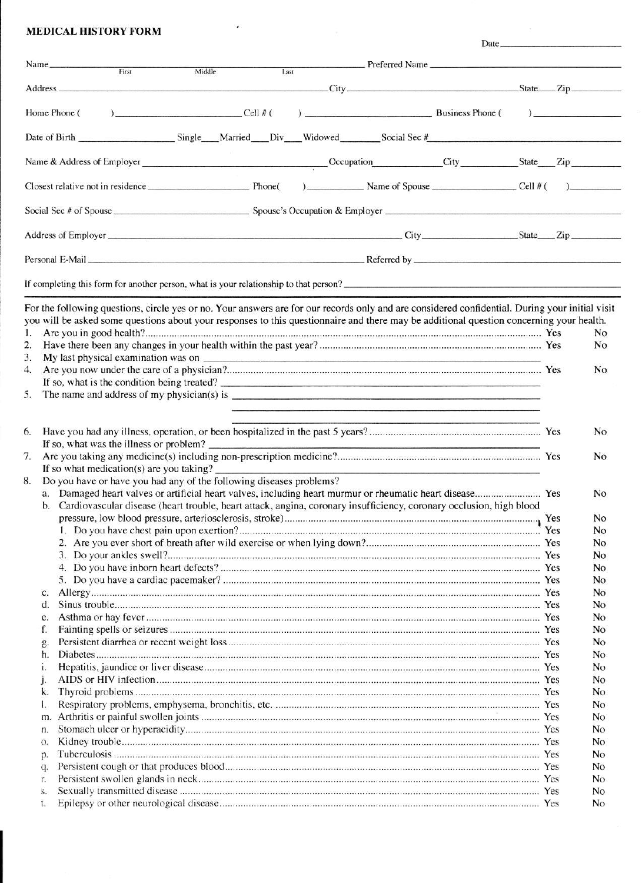## MEDICAL HISTORY FORM

|    | Date                                                                                                                                                                                                                                                                                                                                |                |
|----|-------------------------------------------------------------------------------------------------------------------------------------------------------------------------------------------------------------------------------------------------------------------------------------------------------------------------------------|----------------|
|    |                                                                                                                                                                                                                                                                                                                                     |                |
|    | Last Preferred Name<br>Name First<br>Middle                                                                                                                                                                                                                                                                                         |                |
|    |                                                                                                                                                                                                                                                                                                                                     |                |
|    | $\frac{1}{2}$ $\frac{1}{2}$ $\frac{1}{2}$ $\frac{1}{2}$ $\frac{1}{2}$ $\frac{1}{2}$ $\frac{1}{2}$ $\frac{1}{2}$ $\frac{1}{2}$ $\frac{1}{2}$ $\frac{1}{2}$ $\frac{1}{2}$ $\frac{1}{2}$ $\frac{1}{2}$ $\frac{1}{2}$ $\frac{1}{2}$ $\frac{1}{2}$ $\frac{1}{2}$ $\frac{1}{2}$ $\frac{1}{2}$ $\frac{1}{2}$ $\frac{1}{2}$<br>Home Phone ( |                |
|    |                                                                                                                                                                                                                                                                                                                                     |                |
|    |                                                                                                                                                                                                                                                                                                                                     |                |
|    | Name & Address of Employer<br>City City City State Zip                                                                                                                                                                                                                                                                              |                |
|    |                                                                                                                                                                                                                                                                                                                                     |                |
|    |                                                                                                                                                                                                                                                                                                                                     |                |
|    | Address of Employer State City State City State City State City State City State City State City State City State City State City State City State City State City State City State City State City State City State City Stat                                                                                                      |                |
|    |                                                                                                                                                                                                                                                                                                                                     |                |
|    | If completing this form for another person, what is your relationship to that person?                                                                                                                                                                                                                                               |                |
|    |                                                                                                                                                                                                                                                                                                                                     |                |
|    | For the following questions, circle yes or no. Your answers are for our records only and are considered confidential. During your initial visit<br>you will be asked some questions about your responses to this questionnaire and there may be additional question concerning your health.                                         |                |
| 1. |                                                                                                                                                                                                                                                                                                                                     | N <sub>o</sub> |
| 2. |                                                                                                                                                                                                                                                                                                                                     | N <sub>o</sub> |
| 3. |                                                                                                                                                                                                                                                                                                                                     |                |
| 4. |                                                                                                                                                                                                                                                                                                                                     | No             |
|    | If so, what is the condition being treated?                                                                                                                                                                                                                                                                                         |                |
| 5. |                                                                                                                                                                                                                                                                                                                                     |                |
|    | <u>permeter his productional state and a composition of the contractor of the construction of the construction of</u>                                                                                                                                                                                                               |                |
|    |                                                                                                                                                                                                                                                                                                                                     |                |
| 6. |                                                                                                                                                                                                                                                                                                                                     | N <sub>o</sub> |
|    |                                                                                                                                                                                                                                                                                                                                     |                |
|    |                                                                                                                                                                                                                                                                                                                                     | No             |
|    | If so what medication(s) are you taking? $\frac{1}{2}$<br>the contract of the contract of the contract of the contract of the contract of the contract of                                                                                                                                                                           |                |
| 8. | Do you have or have you had any of the following diseases problems?                                                                                                                                                                                                                                                                 |                |
|    |                                                                                                                                                                                                                                                                                                                                     | N <sub>0</sub> |
|    | b. Cardiovascular disease (heart trouble, heart attack, angina, coronary insufficiency, coronary occlusion, high blood                                                                                                                                                                                                              |                |
|    |                                                                                                                                                                                                                                                                                                                                     | No.            |
|    |                                                                                                                                                                                                                                                                                                                                     | No             |
|    |                                                                                                                                                                                                                                                                                                                                     | No             |
|    |                                                                                                                                                                                                                                                                                                                                     | No             |
|    |                                                                                                                                                                                                                                                                                                                                     | No             |
|    |                                                                                                                                                                                                                                                                                                                                     | No             |
| C. |                                                                                                                                                                                                                                                                                                                                     | No             |
| d. |                                                                                                                                                                                                                                                                                                                                     | No             |
| e  |                                                                                                                                                                                                                                                                                                                                     | No             |
| f. |                                                                                                                                                                                                                                                                                                                                     | N <sub>o</sub> |
|    |                                                                                                                                                                                                                                                                                                                                     | N <sub>o</sub> |
| h. |                                                                                                                                                                                                                                                                                                                                     | N <sub>o</sub> |
|    |                                                                                                                                                                                                                                                                                                                                     | N <sub>o</sub> |
|    |                                                                                                                                                                                                                                                                                                                                     | N <sub>o</sub> |
| K. |                                                                                                                                                                                                                                                                                                                                     | No             |
|    |                                                                                                                                                                                                                                                                                                                                     | No             |
| m. |                                                                                                                                                                                                                                                                                                                                     | N <sub>o</sub> |
| n. |                                                                                                                                                                                                                                                                                                                                     | No             |
| О. |                                                                                                                                                                                                                                                                                                                                     | No             |
| D. |                                                                                                                                                                                                                                                                                                                                     | No             |
| q. |                                                                                                                                                                                                                                                                                                                                     | No             |
| r. |                                                                                                                                                                                                                                                                                                                                     | No             |
| S. |                                                                                                                                                                                                                                                                                                                                     | No             |
| L. |                                                                                                                                                                                                                                                                                                                                     | No.            |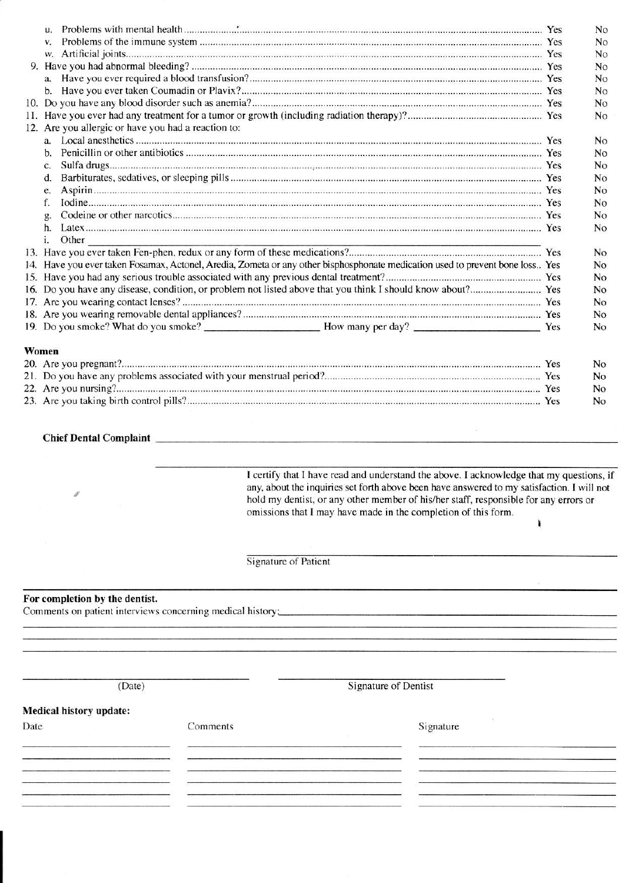|                                                                                                                               |  | N <sub>o</sub> |  |  |  |
|-------------------------------------------------------------------------------------------------------------------------------|--|----------------|--|--|--|
|                                                                                                                               |  | N <sub>o</sub> |  |  |  |
|                                                                                                                               |  | <b>No</b>      |  |  |  |
|                                                                                                                               |  | N <sub>o</sub> |  |  |  |
|                                                                                                                               |  | No             |  |  |  |
|                                                                                                                               |  | No             |  |  |  |
|                                                                                                                               |  | N <sub>o</sub> |  |  |  |
|                                                                                                                               |  |                |  |  |  |
| 12. Are you allergic or have you had a reaction to:                                                                           |  |                |  |  |  |
|                                                                                                                               |  | N <sub>o</sub> |  |  |  |
| b.                                                                                                                            |  | N <sub>o</sub> |  |  |  |
| c.                                                                                                                            |  | N <sub>o</sub> |  |  |  |
| d.                                                                                                                            |  | N <sub>o</sub> |  |  |  |
| e.                                                                                                                            |  | N <sub>o</sub> |  |  |  |
| f.                                                                                                                            |  | No             |  |  |  |
| g.                                                                                                                            |  | No             |  |  |  |
| h.                                                                                                                            |  | No             |  |  |  |
| i.<br>Other                                                                                                                   |  |                |  |  |  |
|                                                                                                                               |  | N <sub>o</sub> |  |  |  |
| 14. Have you ever taken Fosamax, Actonel, Aredia, Zometa or any other bisphosphonate medication used to prevent bone loss Yes |  | N <sub>o</sub> |  |  |  |
|                                                                                                                               |  | N <sub>o</sub> |  |  |  |
|                                                                                                                               |  | No             |  |  |  |
|                                                                                                                               |  | No             |  |  |  |
|                                                                                                                               |  | N <sub>o</sub> |  |  |  |
|                                                                                                                               |  | N <sub>o</sub> |  |  |  |
| Women                                                                                                                         |  |                |  |  |  |
|                                                                                                                               |  | N <sub>o</sub> |  |  |  |
|                                                                                                                               |  | N <sub>o</sub> |  |  |  |
|                                                                                                                               |  | N <sub>o</sub> |  |  |  |
|                                                                                                                               |  | N <sub>o</sub> |  |  |  |
|                                                                                                                               |  |                |  |  |  |
| <b>Chief Dental Complaint</b>                                                                                                 |  |                |  |  |  |

**Chief Dental Complaint** 

I certify that I have read and understand the above. I acknowledge that my questions, if any, about the inquiries set forth above been have answered to my satisfaction. I will not hold my dentist, or any other member of his/her staff, responsible for any errors or omissions that I may have made in the completion of this form.

 $\pmb{\mathfrak{t}}$ 

Signature of Patient

## For completion by the dentist.

Comments on patient interviews concerning medical history:<br>
The manufacture of the concerning medical history:

(Date)

**Signature of Dentist** 

| <b>Medical history update:</b><br>Date | Comments | Signature |  |
|----------------------------------------|----------|-----------|--|
|                                        |          |           |  |
|                                        |          |           |  |
|                                        |          |           |  |